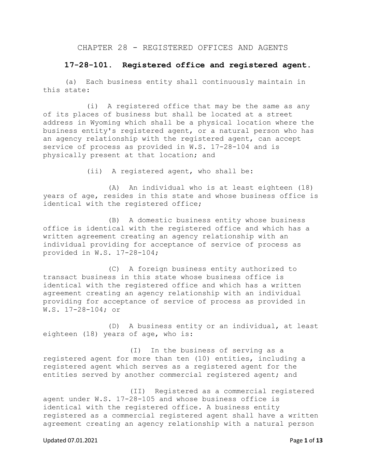### CHAPTER 28 - REGISTERED OFFICES AND AGENTS

### **17-28-101. Registered office and registered agent.**

(a) Each business entity shall continuously maintain in this state:

(i) A registered office that may be the same as any of its places of business but shall be located at a street address in Wyoming which shall be a physical location where the business entity's registered agent, or a natural person who has an agency relationship with the registered agent, can accept service of process as provided in W.S. 17-28-104 and is physically present at that location; and

(ii) A registered agent, who shall be:

(A) An individual who is at least eighteen (18) years of age, resides in this state and whose business office is identical with the registered office;

(B) A domestic business entity whose business office is identical with the registered office and which has a written agreement creating an agency relationship with an individual providing for acceptance of service of process as provided in W.S. 17-28-104;

(C) A foreign business entity authorized to transact business in this state whose business office is identical with the registered office and which has a written agreement creating an agency relationship with an individual providing for acceptance of service of process as provided in W.S. 17-28-104; or

(D) A business entity or an individual, at least eighteen (18) years of age, who is:

(I) In the business of serving as a registered agent for more than ten (10) entities, including a registered agent which serves as a registered agent for the entities served by another commercial registered agent; and

(II) Registered as a commercial registered agent under W.S. 17-28-105 and whose business office is identical with the registered office. A business entity registered as a commercial registered agent shall have a written agreement creating an agency relationship with a natural person

#### Updated 07.01.2021 Page **1** of **13**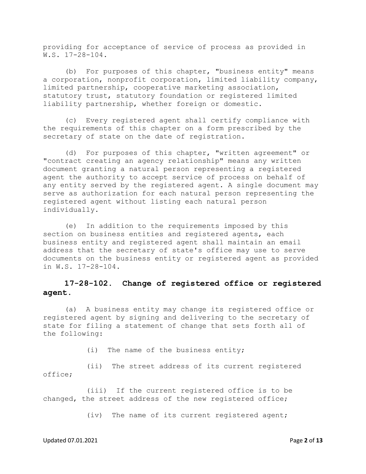providing for acceptance of service of process as provided in W.S. 17-28-104.

(b) For purposes of this chapter, "business entity" means a corporation, nonprofit corporation, limited liability company, limited partnership, cooperative marketing association, statutory trust, statutory foundation or registered limited liability partnership, whether foreign or domestic.

(c) Every registered agent shall certify compliance with the requirements of this chapter on a form prescribed by the secretary of state on the date of registration.

(d) For purposes of this chapter, "written agreement" or "contract creating an agency relationship" means any written document granting a natural person representing a registered agent the authority to accept service of process on behalf of any entity served by the registered agent. A single document may serve as authorization for each natural person representing the registered agent without listing each natural person individually.

(e) In addition to the requirements imposed by this section on business entities and registered agents, each business entity and registered agent shall maintain an email address that the secretary of state's office may use to serve documents on the business entity or registered agent as provided in W.S. 17-28-104.

## **17-28-102. Change of registered office or registered agent.**

(a) A business entity may change its registered office or registered agent by signing and delivering to the secretary of state for filing a statement of change that sets forth all of the following:

(i) The name of the business entity;

(ii) The street address of its current registered office;

(iii) If the current registered office is to be changed, the street address of the new registered office;

(iv) The name of its current registered agent;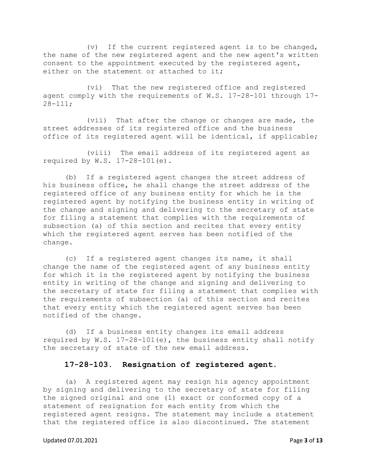(v) If the current registered agent is to be changed, the name of the new registered agent and the new agent's written consent to the appointment executed by the registered agent, either on the statement or attached to it;

(vi) That the new registered office and registered agent comply with the requirements of W.S. 17-28-101 through 17- 28-111;

(vii) That after the change or changes are made, the street addresses of its registered office and the business office of its registered agent will be identical, if applicable;

(viii) The email address of its registered agent as required by W.S. 17-28-101(e).

(b) If a registered agent changes the street address of his business office, he shall change the street address of the registered office of any business entity for which he is the registered agent by notifying the business entity in writing of the change and signing and delivering to the secretary of state for filing a statement that complies with the requirements of subsection (a) of this section and recites that every entity which the registered agent serves has been notified of the change.

(c) If a registered agent changes its name, it shall change the name of the registered agent of any business entity for which it is the registered agent by notifying the business entity in writing of the change and signing and delivering to the secretary of state for filing a statement that complies with the requirements of subsection (a) of this section and recites that every entity which the registered agent serves has been notified of the change.

(d) If a business entity changes its email address required by W.S. 17-28-101(e), the business entity shall notify the secretary of state of the new email address.

## **17-28-103. Resignation of registered agent.**

(a) A registered agent may resign his agency appointment by signing and delivering to the secretary of state for filing the signed original and one (1) exact or conformed copy of a statement of resignation for each entity from which the registered agent resigns. The statement may include a statement that the registered office is also discontinued. The statement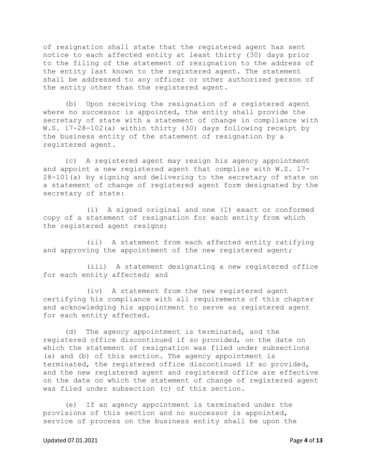of resignation shall state that the registered agent has sent notice to each affected entity at least thirty (30) days prior to the filing of the statement of resignation to the address of the entity last known to the registered agent. The statement shall be addressed to any officer or other authorized person of the entity other than the registered agent.

(b) Upon receiving the resignation of a registered agent where no successor is appointed, the entity shall provide the secretary of state with a statement of change in compliance with W.S. 17-28-102(a) within thirty (30) days following receipt by the business entity of the statement of resignation by a registered agent.

(c) A registered agent may resign his agency appointment and appoint a new registered agent that complies with W.S. 17- 28-101(a) by signing and delivering to the secretary of state on a statement of change of registered agent form designated by the secretary of state:

(i) A signed original and one (1) exact or conformed copy of a statement of resignation for each entity from which the registered agent resigns;

(ii) A statement from each affected entity ratifying and approving the appointment of the new registered agent;

(iii) A statement designating a new registered office for each entity affected; and

(iv) A statement from the new registered agent certifying his compliance with all requirements of this chapter and acknowledging his appointment to serve as registered agent for each entity affected.

(d) The agency appointment is terminated, and the registered office discontinued if so provided, on the date on which the statement of resignation was filed under subsections (a) and (b) of this section. The agency appointment is terminated, the registered office discontinued if so provided, and the new registered agent and registered office are effective on the date on which the statement of change of registered agent was filed under subsection (c) of this section.

(e) If an agency appointment is terminated under the provisions of this section and no successor is appointed, service of process on the business entity shall be upon the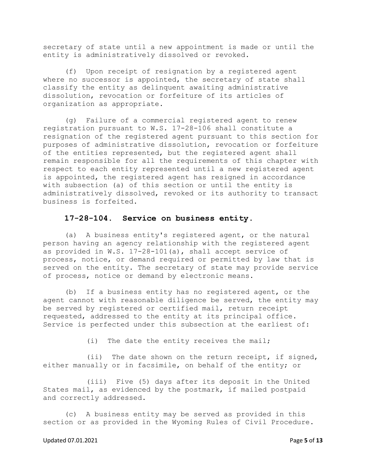secretary of state until a new appointment is made or until the entity is administratively dissolved or revoked.

(f) Upon receipt of resignation by a registered agent where no successor is appointed, the secretary of state shall classify the entity as delinquent awaiting administrative dissolution, revocation or forfeiture of its articles of organization as appropriate.

(g) Failure of a commercial registered agent to renew registration pursuant to W.S. 17-28-106 shall constitute a resignation of the registered agent pursuant to this section for purposes of administrative dissolution, revocation or forfeiture of the entities represented, but the registered agent shall remain responsible for all the requirements of this chapter with respect to each entity represented until a new registered agent is appointed, the registered agent has resigned in accordance with subsection (a) of this section or until the entity is administratively dissolved, revoked or its authority to transact business is forfeited.

### **17-28-104. Service on business entity.**

(a) A business entity's registered agent, or the natural person having an agency relationship with the registered agent as provided in W.S. 17-28-101(a), shall accept service of process, notice, or demand required or permitted by law that is served on the entity. The secretary of state may provide service of process, notice or demand by electronic means.

(b) If a business entity has no registered agent, or the agent cannot with reasonable diligence be served, the entity may be served by registered or certified mail, return receipt requested, addressed to the entity at its principal office. Service is perfected under this subsection at the earliest of:

(i) The date the entity receives the mail;

(ii) The date shown on the return receipt, if signed, either manually or in facsimile, on behalf of the entity; or

(iii) Five (5) days after its deposit in the United States mail, as evidenced by the postmark, if mailed postpaid and correctly addressed.

(c) A business entity may be served as provided in this section or as provided in the Wyoming Rules of Civil Procedure.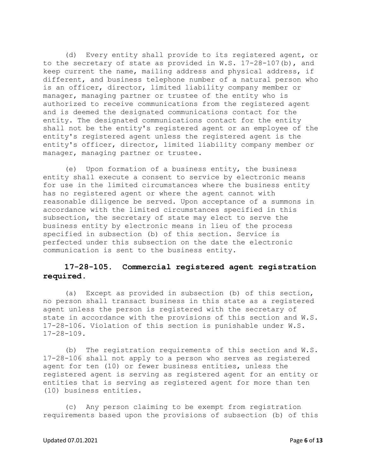(d) Every entity shall provide to its registered agent, or to the secretary of state as provided in W.S. 17-28-107(b), and keep current the name, mailing address and physical address, if different, and business telephone number of a natural person who is an officer, director, limited liability company member or manager, managing partner or trustee of the entity who is authorized to receive communications from the registered agent and is deemed the designated communications contact for the entity. The designated communications contact for the entity shall not be the entity's registered agent or an employee of the entity's registered agent unless the registered agent is the entity's officer, director, limited liability company member or manager, managing partner or trustee.

(e) Upon formation of a business entity, the business entity shall execute a consent to service by electronic means for use in the limited circumstances where the business entity has no registered agent or where the agent cannot with reasonable diligence be served. Upon acceptance of a summons in accordance with the limited circumstances specified in this subsection, the secretary of state may elect to serve the business entity by electronic means in lieu of the process specified in subsection (b) of this section. Service is perfected under this subsection on the date the electronic communication is sent to the business entity.

## **17-28-105. Commercial registered agent registration required.**

(a) Except as provided in subsection (b) of this section, no person shall transact business in this state as a registered agent unless the person is registered with the secretary of state in accordance with the provisions of this section and W.S. 17-28-106. Violation of this section is punishable under W.S. 17-28-109.

(b) The registration requirements of this section and W.S. 17-28-106 shall not apply to a person who serves as registered agent for ten (10) or fewer business entities, unless the registered agent is serving as registered agent for an entity or entities that is serving as registered agent for more than ten (10) business entities.

(c) Any person claiming to be exempt from registration requirements based upon the provisions of subsection (b) of this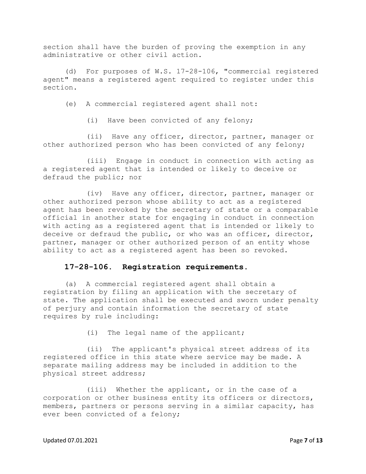section shall have the burden of proving the exemption in any administrative or other civil action.

(d) For purposes of W.S. 17-28-106, "commercial registered agent" means a registered agent required to register under this section.

(e) A commercial registered agent shall not:

(i) Have been convicted of any felony;

(ii) Have any officer, director, partner, manager or other authorized person who has been convicted of any felony;

(iii) Engage in conduct in connection with acting as a registered agent that is intended or likely to deceive or defraud the public; nor

(iv) Have any officer, director, partner, manager or other authorized person whose ability to act as a registered agent has been revoked by the secretary of state or a comparable official in another state for engaging in conduct in connection with acting as a registered agent that is intended or likely to deceive or defraud the public, or who was an officer, director, partner, manager or other authorized person of an entity whose ability to act as a registered agent has been so revoked.

## **17-28-106. Registration requirements.**

(a) A commercial registered agent shall obtain a registration by filing an application with the secretary of state. The application shall be executed and sworn under penalty of perjury and contain information the secretary of state requires by rule including:

(i) The legal name of the applicant;

(ii) The applicant's physical street address of its registered office in this state where service may be made. A separate mailing address may be included in addition to the physical street address;

(iii) Whether the applicant, or in the case of a corporation or other business entity its officers or directors, members, partners or persons serving in a similar capacity, has ever been convicted of a felony;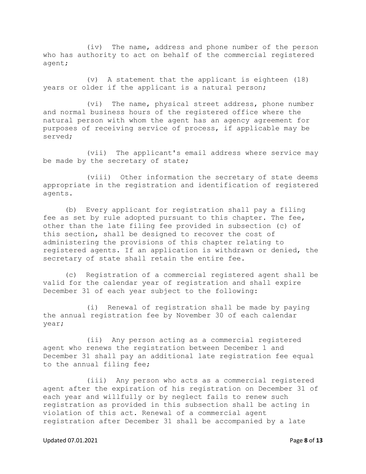(iv) The name, address and phone number of the person who has authority to act on behalf of the commercial registered agent;

(v) A statement that the applicant is eighteen (18) years or older if the applicant is a natural person;

(vi) The name, physical street address, phone number and normal business hours of the registered office where the natural person with whom the agent has an agency agreement for purposes of receiving service of process, if applicable may be served;

(vii) The applicant's email address where service may be made by the secretary of state;

(viii) Other information the secretary of state deems appropriate in the registration and identification of registered agents.

(b) Every applicant for registration shall pay a filing fee as set by rule adopted pursuant to this chapter. The fee, other than the late filing fee provided in subsection (c) of this section, shall be designed to recover the cost of administering the provisions of this chapter relating to registered agents. If an application is withdrawn or denied, the secretary of state shall retain the entire fee.

(c) Registration of a commercial registered agent shall be valid for the calendar year of registration and shall expire December 31 of each year subject to the following:

(i) Renewal of registration shall be made by paying the annual registration fee by November 30 of each calendar year;

(ii) Any person acting as a commercial registered agent who renews the registration between December 1 and December 31 shall pay an additional late registration fee equal to the annual filing fee;

(iii) Any person who acts as a commercial registered agent after the expiration of his registration on December 31 of each year and willfully or by neglect fails to renew such registration as provided in this subsection shall be acting in violation of this act. Renewal of a commercial agent registration after December 31 shall be accompanied by a late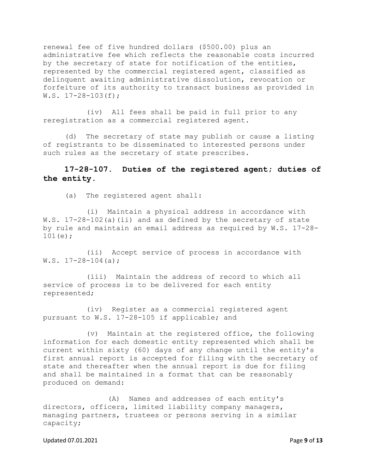renewal fee of five hundred dollars (\$500.00) plus an administrative fee which reflects the reasonable costs incurred by the secretary of state for notification of the entities, represented by the commercial registered agent, classified as delinquent awaiting administrative dissolution, revocation or forfeiture of its authority to transact business as provided in  $W.S. 17-28-103(f);$ 

(iv) All fees shall be paid in full prior to any reregistration as a commercial registered agent.

(d) The secretary of state may publish or cause a listing of registrants to be disseminated to interested persons under such rules as the secretary of state prescribes.

# **17-28-107. Duties of the registered agent; duties of the entity.**

(a) The registered agent shall:

(i) Maintain a physical address in accordance with W.S. 17-28-102(a)(ii) and as defined by the secretary of state by rule and maintain an email address as required by W.S. 17-28- 101(e);

(ii) Accept service of process in accordance with  $W.S. 17-28-104(a);$ 

(iii) Maintain the address of record to which all service of process is to be delivered for each entity represented;

(iv) Register as a commercial registered agent pursuant to W.S. 17-28-105 if applicable; and

(v) Maintain at the registered office, the following information for each domestic entity represented which shall be current within sixty (60) days of any change until the entity's first annual report is accepted for filing with the secretary of state and thereafter when the annual report is due for filing and shall be maintained in a format that can be reasonably produced on demand:

(A) Names and addresses of each entity's directors, officers, limited liability company managers, managing partners, trustees or persons serving in a similar capacity;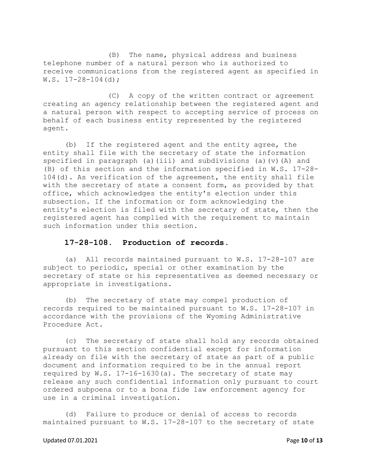(B) The name, physical address and business telephone number of a natural person who is authorized to receive communications from the registered agent as specified in W.S. 17-28-104(d);

(C) A copy of the written contract or agreement creating an agency relationship between the registered agent and a natural person with respect to accepting service of process on behalf of each business entity represented by the registered agent.

(b) If the registered agent and the entity agree, the entity shall file with the secretary of state the information specified in paragraph (a)(iii) and subdivisions (a)(v)(A) and (B) of this section and the information specified in W.S. 17-28- 104(d). As verification of the agreement, the entity shall file with the secretary of state a consent form, as provided by that office, which acknowledges the entity's election under this subsection. If the information or form acknowledging the entity's election is filed with the secretary of state, then the registered agent has complied with the requirement to maintain such information under this section.

### **17-28-108. Production of records.**

(a) All records maintained pursuant to W.S. 17-28-107 are subject to periodic, special or other examination by the secretary of state or his representatives as deemed necessary or appropriate in investigations.

(b) The secretary of state may compel production of records required to be maintained pursuant to W.S. 17-28-107 in accordance with the provisions of the Wyoming Administrative Procedure Act.

(c) The secretary of state shall hold any records obtained pursuant to this section confidential except for information already on file with the secretary of state as part of a public document and information required to be in the annual report required by W.S. 17-16-1630(a). The secretary of state may release any such confidential information only pursuant to court ordered subpoena or to a bona fide law enforcement agency for use in a criminal investigation.

(d) Failure to produce or denial of access to records maintained pursuant to W.S. 17-28-107 to the secretary of state

#### Updated 07.01.2021 **Page 10** of **13**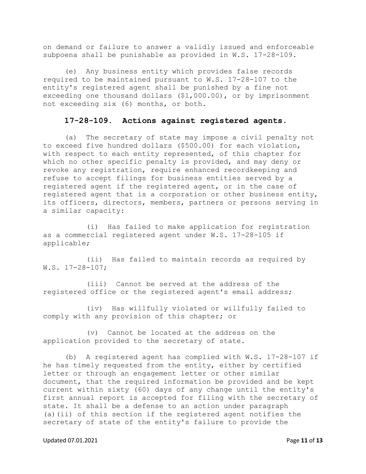on demand or failure to answer a validly issued and enforceable subpoena shall be punishable as provided in W.S. 17-28-109.

(e) Any business entity which provides false records required to be maintained pursuant to W.S. 17-28-107 to the entity's registered agent shall be punished by a fine not exceeding one thousand dollars (\$1,000.00), or by imprisonment not exceeding six (6) months, or both.

## **17-28-109. Actions against registered agents.**

(a) The secretary of state may impose a civil penalty not to exceed five hundred dollars (\$500.00) for each violation, with respect to each entity represented, of this chapter for which no other specific penalty is provided, and may deny or revoke any registration, require enhanced recordkeeping and refuse to accept filings for business entities served by a registered agent if the registered agent, or in the case of registered agent that is a corporation or other business entity, its officers, directors, members, partners or persons serving in a similar capacity:

(i) Has failed to make application for registration as a commercial registered agent under W.S. 17-28-105 if applicable;

(ii) Has failed to maintain records as required by W.S. 17-28-107;

(iii) Cannot be served at the address of the registered office or the registered agent's email address;

(iv) Has willfully violated or willfully failed to comply with any provision of this chapter; or

(v) Cannot be located at the address on the application provided to the secretary of state.

(b) A registered agent has complied with W.S. 17-28-107 if he has timely requested from the entity, either by certified letter or through an engagement letter or other similar document, that the required information be provided and be kept current within sixty (60) days of any change until the entity's first annual report is accepted for filing with the secretary of state. It shall be a defense to an action under paragraph (a)(ii) of this section if the registered agent notifies the secretary of state of the entity's failure to provide the

#### Updated 07.01.2021 **Page 11** of **13**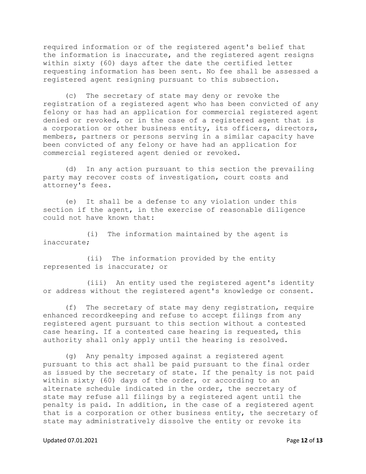required information or of the registered agent's belief that the information is inaccurate, and the registered agent resigns within sixty (60) days after the date the certified letter requesting information has been sent. No fee shall be assessed a registered agent resigning pursuant to this subsection.

(c) The secretary of state may deny or revoke the registration of a registered agent who has been convicted of any felony or has had an application for commercial registered agent denied or revoked, or in the case of a registered agent that is a corporation or other business entity, its officers, directors, members, partners or persons serving in a similar capacity have been convicted of any felony or have had an application for commercial registered agent denied or revoked.

(d) In any action pursuant to this section the prevailing party may recover costs of investigation, court costs and attorney's fees.

(e) It shall be a defense to any violation under this section if the agent, in the exercise of reasonable diligence could not have known that:

(i) The information maintained by the agent is inaccurate;

(ii) The information provided by the entity represented is inaccurate; or

(iii) An entity used the registered agent's identity or address without the registered agent's knowledge or consent.

(f) The secretary of state may deny registration, require enhanced recordkeeping and refuse to accept filings from any registered agent pursuant to this section without a contested case hearing. If a contested case hearing is requested, this authority shall only apply until the hearing is resolved.

(g) Any penalty imposed against a registered agent pursuant to this act shall be paid pursuant to the final order as issued by the secretary of state. If the penalty is not paid within sixty (60) days of the order, or according to an alternate schedule indicated in the order, the secretary of state may refuse all filings by a registered agent until the penalty is paid. In addition, in the case of a registered agent that is a corporation or other business entity, the secretary of state may administratively dissolve the entity or revoke its

#### Updated 07.01.2021 **Page 12** of **13**